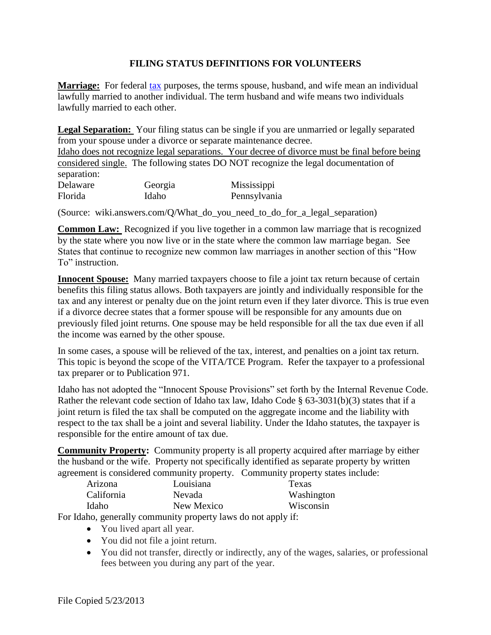## **FILING STATUS DEFINITIONS FOR VOLUNTEERS**

**Marriage:** For federal [tax](https://www.law.cornell.edu/definitions/index.php?width=840&height=800&iframe=true&def_id=4213e3004a09e65224a9cea553071bb1&term_occur=999&term_src=Title:26:Chapter:I:Subchapter:F:Part:301:Subpart:0:301.7701-18) purposes, the terms spouse, husband, and wife mean an individual lawfully married to another individual. The term husband and wife means two individuals lawfully married to each other.

**Legal Separation:** Your filing status can be single if you are unmarried or legally separated from your spouse under a divorce or separate maintenance decree.

Idaho does not recognize legal separations. Your decree of divorce must be final before being considered single. The following states DO NOT recognize the legal documentation of separation: Delaware Georgia Mississippi Florida Idaho Pennsylvania

(Source: wiki.answers.com/Q/What\_do\_you\_need\_to\_do\_for\_a\_legal\_separation)

**Common Law:** Recognized if you live together in a common law marriage that is recognized by the state where you now live or in the state where the common law marriage began. See States that continue to recognize new common law marriages in another section of this "How To" instruction.

**Innocent Spouse:** Many married taxpayers choose to file a joint tax return because of certain benefits this filing status allows. Both taxpayers are jointly and individually responsible for the tax and any interest or penalty due on the joint return even if they later divorce. This is true even if a divorce decree states that a former spouse will be responsible for any amounts due on previously filed joint returns. One spouse may be held responsible for all the tax due even if all the income was earned by the other spouse.

In some cases, a spouse will be relieved of the tax, interest, and penalties on a joint tax return. This topic is beyond the scope of the VITA/TCE Program. Refer the taxpayer to a professional tax preparer or to Publication 971.

Idaho has not adopted the "Innocent Spouse Provisions" set forth by the Internal Revenue Code. Rather the relevant code section of Idaho tax law, Idaho Code § 63-3031(b)(3) states that if a joint return is filed the tax shall be computed on the aggregate income and the liability with respect to the tax shall be a joint and several liability. Under the Idaho statutes, the taxpayer is responsible for the entire amount of tax due.

**Community Property:** Community property is all property acquired after marriage by either the husband or the wife. Property not specifically identified as separate property by written agreement is considered community property. Community property states include:

| Louisiana  | Texas      |
|------------|------------|
| Nevada     | Washington |
| New Mexico | Wisconsin  |
|            |            |

For Idaho, generally community property laws do not apply if:

- You lived apart all year.
- You did not file a joint return.
- You did not transfer, directly or indirectly, any of the wages, salaries, or professional fees between you during any part of the year.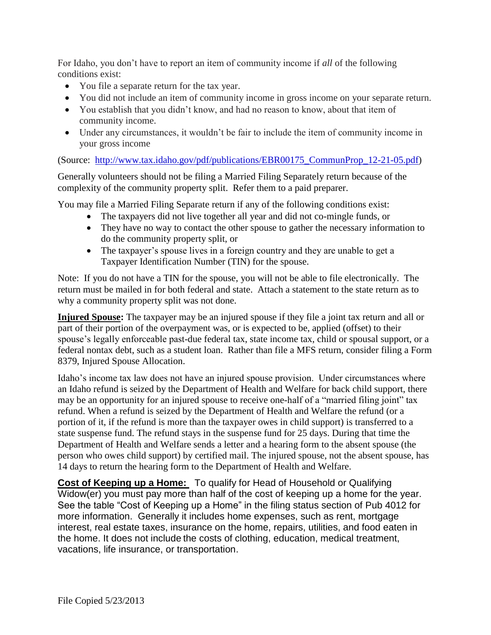For Idaho, you don't have to report an item of community income if *all* of the following conditions exist:

- You file a separate return for the tax year.
- You did not include an item of community income in gross income on your separate return.
- You establish that you didn't know, and had no reason to know, about that item of community income.
- Under any circumstances, it wouldn't be fair to include the item of community income in your gross income

(Source: [http://www.tax.idaho.gov/pdf/publications/EBR00175\\_CommunProp\\_12-21-05.pdf\)](http://www.tax.idaho.gov/pdf/publications/EBR00175_CommunProp_12-21-05.pdf)

Generally volunteers should not be filing a Married Filing Separately return because of the complexity of the community property split. Refer them to a paid preparer.

You may file a Married Filing Separate return if any of the following conditions exist:

- The taxpayers did not live together all year and did not co-mingle funds, or
- They have no way to contact the other spouse to gather the necessary information to do the community property split, or
- The taxpayer's spouse lives in a foreign country and they are unable to get a Taxpayer Identification Number (TIN) for the spouse.

Note: If you do not have a TIN for the spouse, you will not be able to file electronically. The return must be mailed in for both federal and state. Attach a statement to the state return as to why a community property split was not done.

**Injured Spouse:** The taxpayer may be an injured spouse if they file a joint tax return and all or part of their portion of the overpayment was, or is expected to be, applied (offset) to their spouse's legally enforceable past-due federal tax, state income tax, child or spousal support, or a federal nontax debt, such as a student loan. Rather than file a MFS return, consider filing a Form 8379, Injured Spouse Allocation.

Idaho's income tax law does not have an injured spouse provision. Under circumstances where an Idaho refund is seized by the Department of Health and Welfare for back child support, there may be an opportunity for an injured spouse to receive one-half of a "married filing joint" tax refund. When a refund is seized by the Department of Health and Welfare the refund (or a portion of it, if the refund is more than the taxpayer owes in child support) is transferred to a state suspense fund. The refund stays in the suspense fund for 25 days. During that time the Department of Health and Welfare sends a letter and a hearing form to the absent spouse (the person who owes child support) by certified mail. The injured spouse, not the absent spouse, has 14 days to return the hearing form to the Department of Health and Welfare.

**Cost of Keeping up a Home:** To qualify for Head of Household or Qualifying Widow(er) you must pay more than half of the cost of keeping up a home for the year. See the table "Cost of Keeping up a Home" in the filing status section of Pub 4012 for more information. Generally it includes home expenses, such as rent, mortgage interest, real estate taxes, insurance on the home, repairs, utilities, and food eaten in the home. It does not include the costs of clothing, education, medical treatment, vacations, life insurance, or transportation.